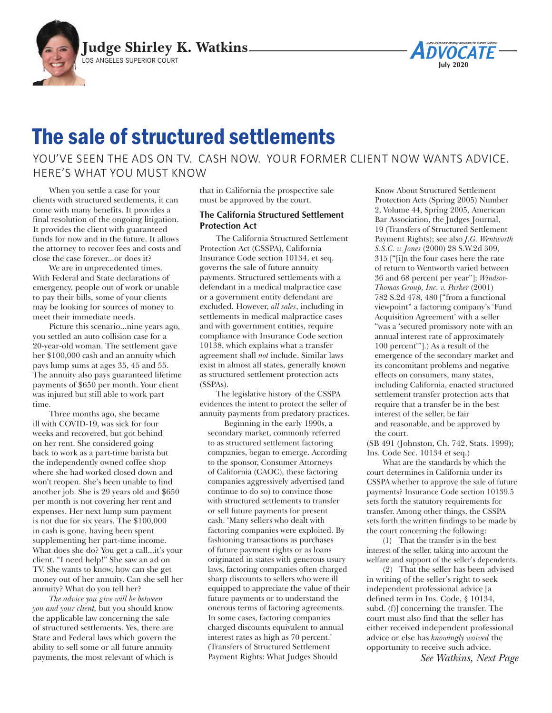



## The sale of structured settlements

YOU'VE SEEN THE ADS ON TV. CASH NOW. YOUR FORMER CLIENT NOW WANTS ADVICE. HERE'S WHAT YOU MUST KNOW

When you settle a case for your clients with structured settlements, it can come with many benefits. It provides a final resolution of the ongoing litigation. It provides the client with guaranteed funds for now and in the future. It allows the attorney to recover fees and costs and close the case forever...or does it?

We are in unprecedented times. With Federal and State declarations of emergency, people out of work or unable to pay their bills, some of your clients may be looking for sources of money to meet their immediate needs.

Picture this scenario...nine years ago, you settled an auto collision case for a 20-year-old woman. The settlement gave her \$100,000 cash and an annuity which pays lump sums at ages 35, 45 and 55. The annuity also pays guaranteed lifetime payments of \$650 per month. Your client was injured but still able to work part time.

Three months ago, she became ill with COVID-19, was sick for four weeks and recovered, but got behind on her rent. She considered going back to work as a part-time barista but the independently owned coffee shop where she had worked closed down and won't reopen. She's been unable to find another job. She is 29 years old and \$650 per month is not covering her rent and expenses. Her next lump sum payment is not due for six years. The \$100,000 in cash is gone, having been spent supplementing her part-time income. What does she do? You get a call...it's your client. "I need help!" She saw an ad on TV. She wants to know, how can she get money out of her annuity. Can she sell her annuity? What do you tell her?

*The advice you give will be between you and your client,* but you should know the applicable law concerning the sale of structured settlements. Yes, there are State and Federal laws which govern the ability to sell some or all future annuity payments, the most relevant of which is

that in California the prospective sale must be approved by the court.

## **The California Structured Settlement Protection Act**

The California Structured Settlement Protection Act (CSSPA), California Insurance Code section 10134, et seq. governs the sale of future annuity payments. Structured settlements with a defendant in a medical malpractice case or a government entity defendant are excluded. However, *all sales*, including in settlements in medical malpractice cases and with government entities, require compliance with Insurance Code section 10138, which explains what a transfer agreement shall *not* include. Similar laws exist in almost all states, generally known as structured settlement protection acts (SSPAs).

The legislative history of the CSSPA evidences the intent to protect the seller of annuity payments from predatory practices.

Beginning in the early 1990s, a secondary market, commonly referred to as structured settlement factoring companies, began to emerge. According to the sponsor, Consumer Attorneys of California (CAOC), these factoring companies aggressively advertised (and continue to do so) to convince those with structured settlements to transfer or sell future payments for present cash. 'Many sellers who dealt with factoring companies were exploited. By fashioning transactions as purchases of future payment rights or as loans originated in states with generous usury laws, factoring companies often charged sharp discounts to sellers who were ill equipped to appreciate the value of their future payments or to understand the onerous terms of factoring agreements. In some cases, factoring companies charged discounts equivalent to annual interest rates as high as 70 percent.' (Transfers of Structured Settlement Payment Rights: What Judges Should

Know About Structured Settlement Protection Acts (Spring 2005) Number 2, Volume 44, Spring 2005, American Bar Association, the Judges Journal, 19 (Transfers of Structured Settlement Payment Rights); see also *J.G. Wentworth S.S.C. v. Jones* (2000) 28 S.W.2d 309, 315 ["[i]n the four cases here the rate of return to Wentworth varied between 36 and 68 percent per year"]; *Windsor-Thomas Group, Inc. v. Parker* (2001) 782 S.2d 478, 480 ["from a functional viewpoint" a factoring company's 'Fund Acquisition Agreement' with a seller "was a 'secured promissory note with an annual interest rate of approximately 100 percent'"].) As a result of the emergence of the secondary market and its concomitant problems and negative effects on consumers, many states, including California, enacted structured settlement transfer protection acts that require that a transfer be in the best interest of the seller, be fair and reasonable, and be approved by the court.

(SB 491 (Johnston, Ch. 742, Stats. 1999); Ins. Code Sec. 10134 et seq.)

What are the standards by which the court determines in California under its CSSPA whether to approve the sale of future payments? Insurance Code section 10139.5 sets forth the statutory requirements for transfer. Among other things, the CSSPA sets forth the written findings to be made by the court concerning the following:

(1) That the transfer is in the best interest of the seller, taking into account the welfare and support of the seller's dependents.

(2) That the seller has been advised in writing of the seller's right to seek independent professional advice [a defined term in Ins. Code, § 10134, subd. (f)] concerning the transfer. The court must also find that the seller has either received independent professional advice or else has *knowingly waived* the opportunity to receive such advice.

*See Watkins, Next Page*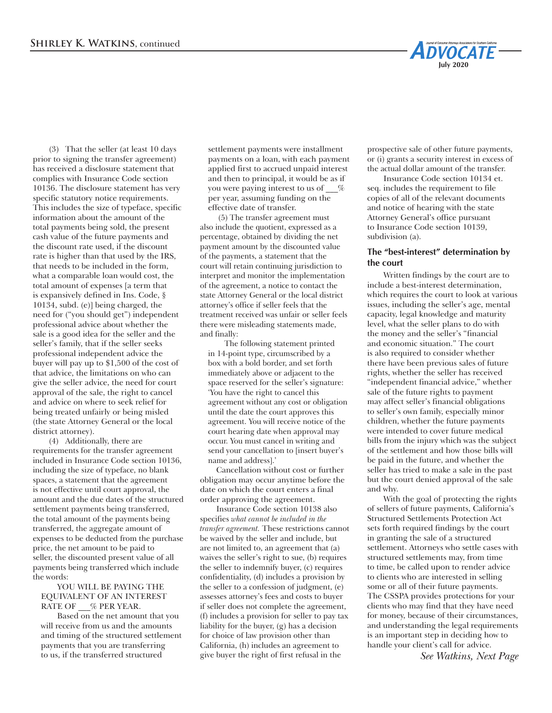(3) That the seller (at least 10 days prior to signing the transfer agreement) has received a disclosure statement that complies with Insurance Code section 10136. The disclosure statement has very specific statutory notice requirements. This includes the size of typeface, specific information about the amount of the total payments being sold, the present cash value of the future payments and the discount rate used, if the discount rate is higher than that used by the IRS, that needs to be included in the form, what a comparable loan would cost, the total amount of expenses [a term that is expansively defined in Ins. Code, § 10134, subd. (e)] being charged, the need for ("you should get") independent professional advice about whether the sale is a good idea for the seller and the seller's family, that if the seller seeks professional independent advice the buyer will pay up to \$1,500 of the cost of that advice, the limitations on who can give the seller advice, the need for court approval of the sale, the right to cancel and advice on where to seek relief for being treated unfairly or being misled (the state Attorney General or the local district attorney).

(4) Additionally, there are requirements for the transfer agreement included in Insurance Code section 10136, including the size of typeface, no blank spaces, a statement that the agreement is not effective until court approval, the amount and the due dates of the structured settlement payments being transferred, the total amount of the payments being transferred, the aggregate amount of expenses to be deducted from the purchase price, the net amount to be paid to seller, the discounted present value of all payments being transferred which include the words:

## YOU WILL BE PAYING THE EQUIVALENT OF AN INTEREST RATE OF  $\%$  PER YEAR.

Based on the net amount that you will receive from us and the amounts and timing of the structured settlement payments that you are transferring to us, if the transferred structured

settlement payments were installment payments on a loan, with each payment applied first to accrued unpaid interest and then to principal, it would be as if you were paying interest to us of  $\%$ per year, assuming funding on the effective date of transfer.

 (5) The transfer agreement must also include the quotient, expressed as a percentage, obtained by dividing the net payment amount by the discounted value of the payments, a statement that the court will retain continuing jurisdiction to interpret and monitor the implementation of the agreement, a notice to contact the state Attorney General or the local district attorney's office if seller feels that the treatment received was unfair or seller feels there were misleading statements made, and finally:

The following statement printed in 14-point type, circumscribed by a box with a bold border, and set forth immediately above or adjacent to the space reserved for the seller's signature: 'You have the right to cancel this agreement without any cost or obligation until the date the court approves this agreement. You will receive notice of the court hearing date when approval may occur. You must cancel in writing and send your cancellation to [insert buyer's name and address].'

Cancellation without cost or further obligation may occur anytime before the date on which the court enters a final order approving the agreement.

Insurance Code section 10138 also specifies *what cannot be included in the transfer agreement.* These restrictions cannot be waived by the seller and include, but are not limited to, an agreement that (a) waives the seller's right to sue, (b) requires the seller to indemnify buyer, (c) requires confidentiality, (d) includes a provision by the seller to a confession of judgment, (e) assesses attorney's fees and costs to buyer if seller does not complete the agreement, (f) includes a provision for seller to pay tax liability for the buyer, (g) has a decision for choice of law provision other than California, (h) includes an agreement to give buyer the right of first refusal in the

prospective sale of other future payments, or (i) grants a security interest in excess of the actual dollar amount of the transfer.

**May 2020**

**ADVOCATE** 

**July 2020**

Insurance Code section 10134 et. seq. includes the requirement to file copies of all of the relevant documents and notice of hearing with the state Attorney General's office pursuant to Insurance Code section 10139, subdivision (a).

## **The "best-interest" determination by the court**

Written findings by the court are to include a best-interest determination, which requires the court to look at various issues, including the seller's age, mental capacity, legal knowledge and maturity level, what the seller plans to do with the money and the seller's "financial and economic situation." The court is also required to consider whether there have been previous sales of future rights, whether the seller has received "independent financial advice," whether sale of the future rights to payment may affect seller's financial obligations to seller's own family, especially minor children, whether the future payments were intended to cover future medical bills from the injury which was the subject of the settlement and how those bills will be paid in the future, and whether the seller has tried to make a sale in the past but the court denied approval of the sale and why.

With the goal of protecting the rights of sellers of future payments, California's Structured Settlements Protection Act sets forth required findings by the court in granting the sale of a structured settlement. Attorneys who settle cases with structured settlements may, from time to time, be called upon to render advice to clients who are interested in selling some or all of their future payments. The CSSPA provides protections for your clients who may find that they have need for money, because of their circumstances, and understanding the legal requirements is an important step in deciding how to handle your client's call for advice.

*See Watkins, Next Page*